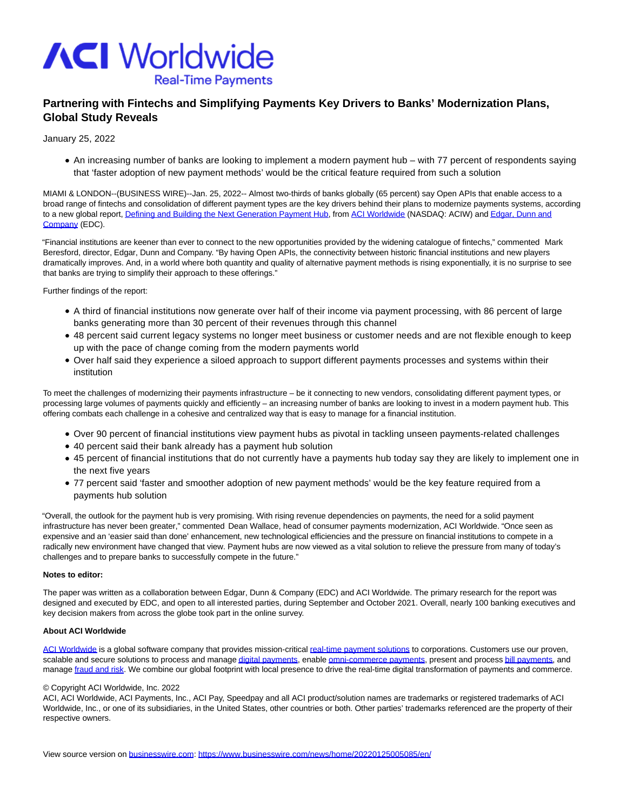

## **Partnering with Fintechs and Simplifying Payments Key Drivers to Banks' Modernization Plans, Global Study Reveals**

January 25, 2022

An increasing number of banks are looking to implement a modern payment hub – with 77 percent of respondents saying that 'faster adoption of new payment methods' would be the critical feature required from such a solution

MIAMI & LONDON--(BUSINESS WIRE)--Jan. 25, 2022-- Almost two-thirds of banks globally (65 percent) say Open APIs that enable access to a broad range of fintechs and consolidation of different payment types are the key drivers behind their plans to modernize payments systems, according to a new global report[, Defining and Building the Next Generation Payment Hub,](https://cts.businesswire.com/ct/CT?id=smartlink&url=https%3A%2F%2Fgo.aciworldwide.com%2Frs%2F030-ROK-804%2Fimages%2FWhitepaper-ACI-EDC-payments-hub.pdf%3FaliId%3DeyJpIjoiWW1tUXVRd3NiT1BrREZsTSIsInQiOiJuOWtFMExTbDdBNE9RazhqNldcL2xVdz09In0%25253D&esheet=52567398&newsitemid=20220125005085&lan=en-US&anchor=Defining+and+Building+the+Next+Generation+Payment+Hub&index=1&md5=dcab54e3fd357c6d4430d9c37c0aedc6) from [ACI Worldwide \(](https://cts.businesswire.com/ct/CT?id=smartlink&url=http%3A%2F%2Fwww.aciworldwide.com&esheet=52567398&newsitemid=20220125005085&lan=en-US&anchor=ACI+Worldwide&index=2&md5=73a2288cdca97a8a6063bd303aa578a3)NASDAQ: ACIW) an[d Edgar, Dunn and](https://cts.businesswire.com/ct/CT?id=smartlink&url=https%3A%2F%2Fedgardunn.com%2F&esheet=52567398&newsitemid=20220125005085&lan=en-US&anchor=Edgar%2C+Dunn+and+Company&index=3&md5=6ab4a96c35846bbe3ce00d2c0641ea66) Company (EDC).

"Financial institutions are keener than ever to connect to the new opportunities provided by the widening catalogue of fintechs," commented Mark Beresford, director, Edgar, Dunn and Company. "By having Open APIs, the connectivity between historic financial institutions and new players dramatically improves. And, in a world where both quantity and quality of alternative payment methods is rising exponentially, it is no surprise to see that banks are trying to simplify their approach to these offerings."

Further findings of the report:

- A third of financial institutions now generate over half of their income via payment processing, with 86 percent of large banks generating more than 30 percent of their revenues through this channel
- 48 percent said current legacy systems no longer meet business or customer needs and are not flexible enough to keep up with the pace of change coming from the modern payments world
- Over half said they experience a siloed approach to support different payments processes and systems within their institution

To meet the challenges of modernizing their payments infrastructure – be it connecting to new vendors, consolidating different payment types, or processing large volumes of payments quickly and efficiently – an increasing number of banks are looking to invest in a modern payment hub. This offering combats each challenge in a cohesive and centralized way that is easy to manage for a financial institution.

- Over 90 percent of financial institutions view payment hubs as pivotal in tackling unseen payments-related challenges
- 40 percent said their bank already has a payment hub solution
- 45 percent of financial institutions that do not currently have a payments hub today say they are likely to implement one in the next five years
- 77 percent said 'faster and smoother adoption of new payment methods' would be the key feature required from a payments hub solution

"Overall, the outlook for the payment hub is very promising. With rising revenue dependencies on payments, the need for a solid payment infrastructure has never been greater," commented Dean Wallace, head of consumer payments modernization, ACI Worldwide. "Once seen as expensive and an 'easier said than done' enhancement, new technological efficiencies and the pressure on financial institutions to compete in a radically new environment have changed that view. Payment hubs are now viewed as a vital solution to relieve the pressure from many of today's challenges and to prepare banks to successfully compete in the future."

## **Notes to editor:**

The paper was written as a collaboration between Edgar, Dunn & Company (EDC) and ACI Worldwide. The primary research for the report was designed and executed by EDC, and open to all interested parties, during September and October 2021. Overall, nearly 100 banking executives and key decision makers from across the globe took part in the online survey.

## **About ACI Worldwide**

[ACI Worldwide i](https://cts.businesswire.com/ct/CT?id=smartlink&url=https%3A%2F%2Fwww.aciworldwide.com%2F&esheet=52567398&newsitemid=20220125005085&lan=en-US&anchor=ACI+Worldwide&index=4&md5=aec13ab692447186f0b4afb17440e776)s a global software company that provides mission-critical [real-time payment solutions t](https://cts.businesswire.com/ct/CT?id=smartlink&url=https%3A%2F%2Fwww.aciworldwide.com%2Fabout-aci&esheet=52567398&newsitemid=20220125005085&lan=en-US&anchor=real-time+payment+solutions&index=5&md5=130fd57adcc60349238b4fa1b9173905)o corporations. Customers use our proven, scalable and secure solutions to process and manag[e digital payments,](https://cts.businesswire.com/ct/CT?id=smartlink&url=https%3A%2F%2Fwww.aciworldwide.com%2Fsolutions%2Faci-enterprise-payments-platform&esheet=52567398&newsitemid=20220125005085&lan=en-US&anchor=digital+payments&index=6&md5=941d965f26747f01cfdca76e211d95d4) enabl[e omni-commerce payments,](https://cts.businesswire.com/ct/CT?id=smartlink&url=https%3A%2F%2Fwww.aciworldwide.com%2Fsolutions%2Faci-omni-commerce&esheet=52567398&newsitemid=20220125005085&lan=en-US&anchor=omni-commerce+payments&index=7&md5=70756c0930c360ba89d71e4e22a3b51e) present and proces[s bill payments,](https://cts.businesswire.com/ct/CT?id=smartlink&url=https%3A%2F%2Fwww.aciworldwide.com%2Fsolutions%2Faci-speedpay&esheet=52567398&newsitemid=20220125005085&lan=en-US&anchor=bill+payments&index=8&md5=05fcf5c705c6a6310d72e2e0515df0d0) and manage [fraud and risk.](https://cts.businesswire.com/ct/CT?id=smartlink&url=https%3A%2F%2Fwww.aciworldwide.com%2Fsolutions%2Faci-fraud-management-banking&esheet=52567398&newsitemid=20220125005085&lan=en-US&anchor=fraud+and+risk&index=9&md5=d8f88f4087a8e78e14132ed4f48eeb9a) We combine our global footprint with local presence to drive the real-time digital transformation of payments and commerce.

## © Copyright ACI Worldwide, Inc. 2022

ACI, ACI Worldwide, ACI Payments, Inc., ACI Pay, Speedpay and all ACI product/solution names are trademarks or registered trademarks of ACI Worldwide, Inc., or one of its subsidiaries, in the United States, other countries or both. Other parties' trademarks referenced are the property of their respective owners.